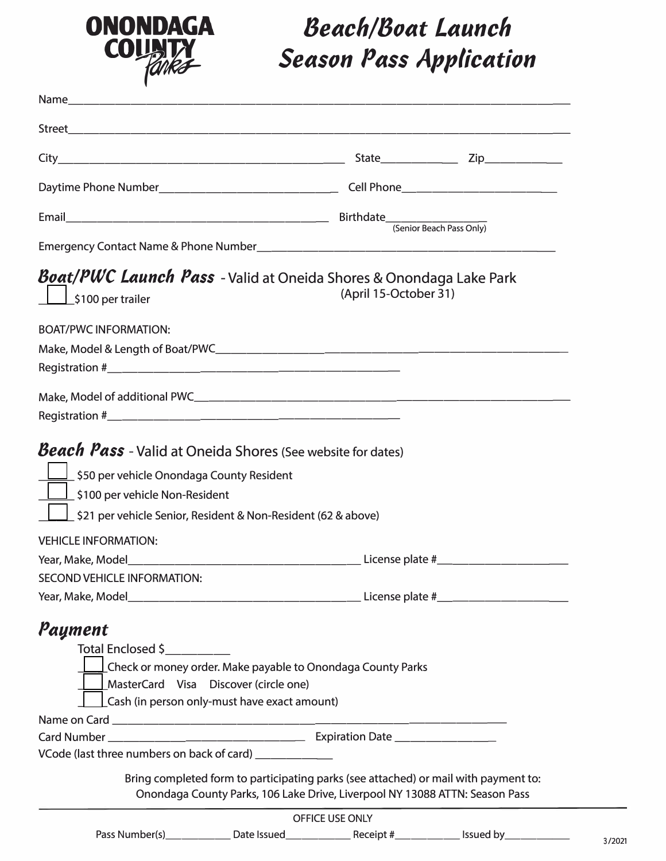

## *Beach/Boat Launch Season Pass Application*

| <i>Boat/PWC Launch Pass -</i> Valid at Oneida Shores & Onondaga Lake Park<br>\$100 per trailer                                               | (April 15-October 31) |  |
|----------------------------------------------------------------------------------------------------------------------------------------------|-----------------------|--|
| <b>BOAT/PWC INFORMATION:</b>                                                                                                                 |                       |  |
|                                                                                                                                              |                       |  |
|                                                                                                                                              |                       |  |
|                                                                                                                                              |                       |  |
|                                                                                                                                              |                       |  |
| _1 \$100 per vehicle Non-Resident<br><u>│ │ S</u> 21 per vehicle Senior, Resident & Non-Resident (62 & above)<br><b>VEHICLE INFORMATION:</b> |                       |  |
|                                                                                                                                              |                       |  |
| SECOND VEHICLE INFORMATION:                                                                                                                  |                       |  |
|                                                                                                                                              |                       |  |
| Payment                                                                                                                                      |                       |  |
| Total Enclosed \$                                                                                                                            |                       |  |
| <u>⊥</u> Check or money order. Make payable to Onondaga County Parks                                                                         |                       |  |
| MasterCard Visa Discover (circle one)                                                                                                        |                       |  |
| Cash (in person only-must have exact amount)                                                                                                 |                       |  |
|                                                                                                                                              |                       |  |
|                                                                                                                                              |                       |  |
| VCode (last three numbers on back of card) ____________                                                                                      |                       |  |
| Bring completed form to participating parks (see attached) or mail with payment to:                                                          |                       |  |
| Onondaga County Parks, 106 Lake Drive, Liverpool NY 13088 ATTN: Season Pass                                                                  |                       |  |
|                                                                                                                                              | OFFICE USE ONLY       |  |